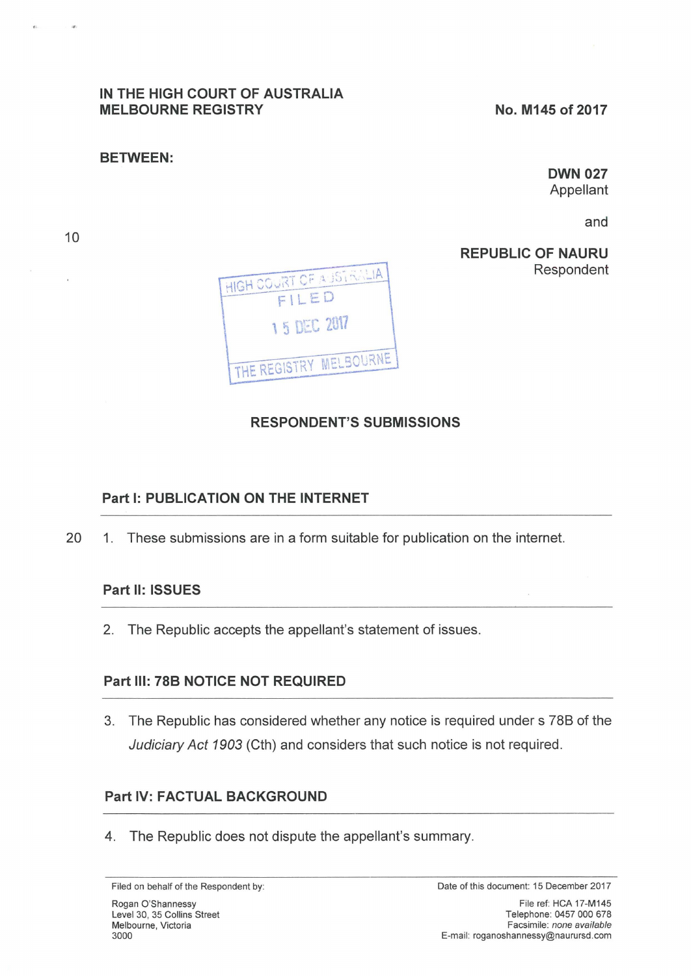## **IN THE HIGH COURT OF AUSTRALIA MELBOURNE REGISTRY**

#### **BETWEEN:**

**OWN 027**  Appellant

and

**REPUBLIC OF NAURU**  Respondent



# **RESPONDENT'S SUBMISSIONS**

## **Part 1: PUBLICATION ON THE INTERNET**

20 1. These submissions are in a form suitable for publication on the internet.

## **Part 11: ISSUES**

2. The Republic accepts the appellant's statement of issues.

## **Part Ill: 78B NOTICE NOT REQUIRED**

3. The Republic has considered whether any notice is required under s 788 of the Judiciary Act 1903 (Cth) and considers that such notice is not required.

# **Part IV: FACTUAL BACKGROUND**

4. The Republic does not dispute the appellant's summary.

×

Filed on behalf of the Respondent by: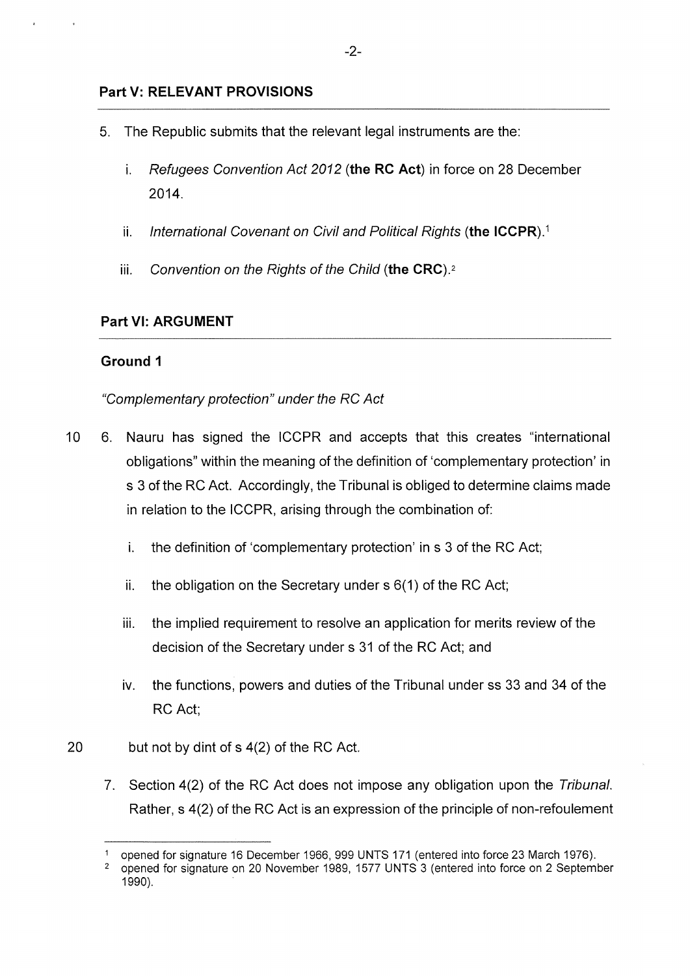## **Part V: RELEVANT PROVISIONS**

- 5. The Republic submits that the relevant legal instruments are the:
	- i. Refugees Convention Act 2012 **(the RC Act)** in force on 28 December 2014.
	- ii. International Covenant on Civil and Political Rights **(the ICCPR). <sup>1</sup>**
	- iii. Convention on the Rights of the Child **(the CRC). <sup>2</sup>**

## **Part VI: ARGUMENT**

## **Ground 1**

## "Complementary protection" under the RC Act

- 10 6. Nauru has signed the ICCPR and accepts that this creates "international obligations" within the meaning of the definition of 'complementary protection' in s 3 of the RC Act. Accordingly, the Tribunal is obliged to determine claims made in relation to the ICCPR, arising through the combination of:
	- i. the definition of 'complementary protection' in s 3 of the RC Act;
	- ii. the obligation on the Secretary under  $s$  6(1) of the RC Act;
	- iii. the implied requirement to resolve an application for merits review of the decision of the Secretary under s 31 of the RC Act; and
	- iv. the functions, powers and duties of the Tribunal under ss 33 and 34 of the RC Act;
- 20 but not by dint of s 4(2) of the RC Act.
	- 7. Section 4(2) of the RC Act does not impose any obligation upon the Tribunal. Rather, s 4(2) of the RC Act is an expression of the principle of non-refoulement

<sup>1</sup>opened for signature 16 December 1966, 999 UNTS 171 (entered into force 23 March 1976).

<sup>2</sup>opened for signature on 20 November 1989, 1577 UNTS 3 (entered into force on 2 September 1990).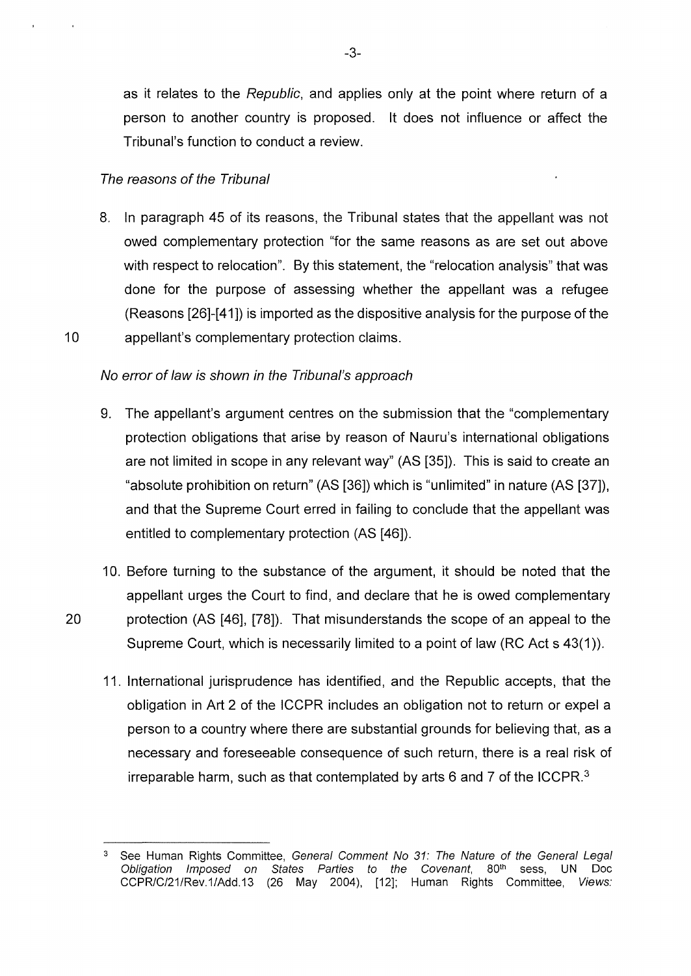as it relates to the Republic, and applies only at the point where return of a person to another country is proposed. lt does not influence or affect the Tribunal's function to conduct a review.

#### The reasons of the Tribunal

8. In paragraph 45 of its reasons, the Tribunal states that the appellant was not owed complementary protection "for the same reasons as are set out above with respect to relocation". By this statement, the "relocation analysis" that was done for the purpose of assessing whether the appellant was a refugee (Reasons [26]-[41]) is imported as the dispositive analysis for the purpose of the 10 appellant's complementary protection claims.

#### No error of law is shown in the Tribunal's approach

- 9. The appellant's argument centres on the submission that the "complementary protection obligations that arise by reason of Nauru's international obligations are not limited in scope in any relevant way" (AS [35]). This is said to create an "absolute prohibition on return" (AS [36]) which is "unlimited" in nature (AS [37]), and that the Supreme Court erred in failing to conclude that the appellant was entitled to complementary protection (AS [46]).
- 10. Before turning to the substance of the argument, it should be noted that the appellant urges the Court to find, and declare that he is owed complementary 20 protection (AS [46], [78]). That misunderstands the scope of an appeal to the Supreme Court, which is necessarily limited to a point of law (RC Act s 43(1)).
	- 11. International jurisprudence has identified, and the Republic accepts, that the obligation in Art 2 of the ICCPR includes an obligation not to return or expel a person to a country where there are substantial grounds for believing that, as a necessary and foreseeable consequence of such return, there is a real risk of irreparable harm, such as that contemplated by arts 6 and 7 of the ICCPR. $3$

See Human Rights Committee, General Comment No 31: The Nature of the General Legal Obligation Imposed on States Parties to the Covenant, 80<sup>th</sup> sess, UN Doc CCPR/C/21/Rev.1/Add.13 (26 May 2004), [12]; Human Rights Committee, Views: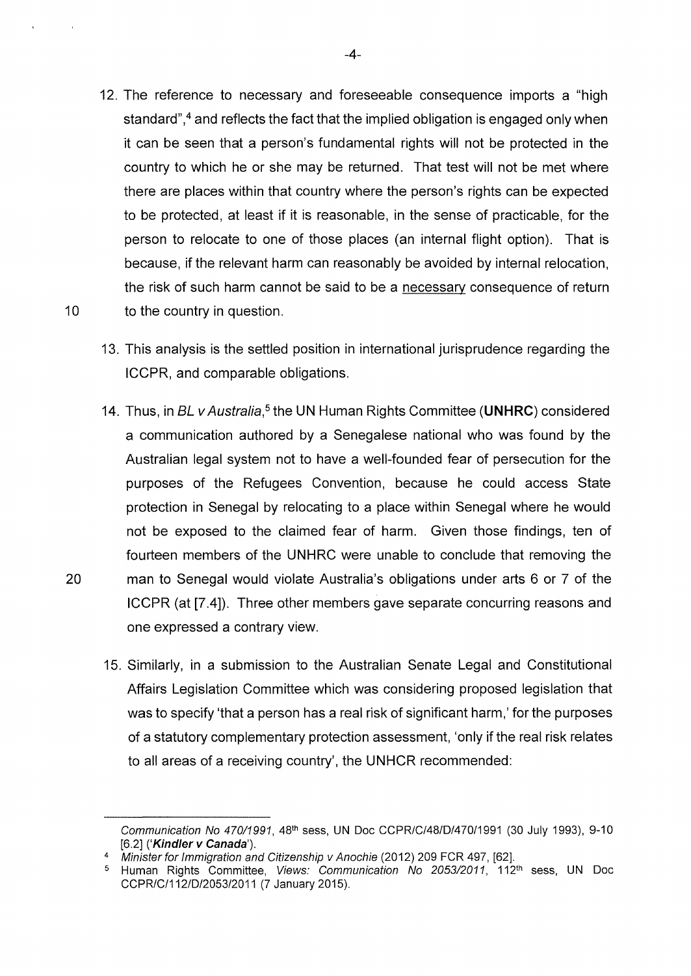- 12. The reference to necessary and foreseeable consequence imports a "high standard",<sup>4</sup> and reflects the fact that the implied obligation is engaged only when it can be seen that a person's fundamental rights will not be protected in the country to which he or she may be returned. That test will not be met where there are places within that country where the person's rights can be expected to be protected, at least if it is reasonable, in the sense of practicable, for the person to relocate to one of those places (an internal flight option). That is because, if the relevant harm can reasonably be avoided by internal relocation, the risk of such harm cannot be said to be a necessary consequence of return 10 to the country in question.
	- 13. This analysis is the settled position in international jurisprudence regarding the ICCPR, and comparable obligations.
- 14. Thus, in BL *v* Australia,*5* the UN Human Rights Committee **(UNHRC)** considered a communication authored by a Senegalese national who was found by the Australian legal system not to have a well-founded fear of persecution for the purposes of the Refugees Convention, because he could access State protection in Senegal by relocating to a place within Senegal where he would not be exposed to the claimed fear of harm. Given those findings, ten of fourteen members of the UNHRC were unable to conclude that removing the 20 man to Senegal would violate Australia's obligations under arts 6 or 7 of the ICCPR (at [7.4]). Three other members gave separate concurring reasons and one expressed a contrary view.
	- 15. Similarly, in a submission to the Australian Senate Legal and Constitutional Affairs Legislation Committee which was considering proposed legislation that was to specify 'that a person has a real risk of significant harm,' for the purposes of a statutory complementary protection assessment, 'only if the real risk relates to all areas of a receiving country', the UNHCR recommended:

Communication No 470/1991, 48<sup>th</sup> sess, UN Doc CCPR/C/48/D/470/1991 (30 July 1993), 9-10 [6.2] ('Kindler v Canada').

Minister for Immigration and Citizenship v Anochie (2012) 209 FCR 497, [62].

<sup>&</sup>lt;sup>5</sup> Human Rights Committee, Views: Communication No 2053/2011, 112<sup>th</sup> sess, UN Doc CCPR/C/112/D/2053/2011 (7 January 2015).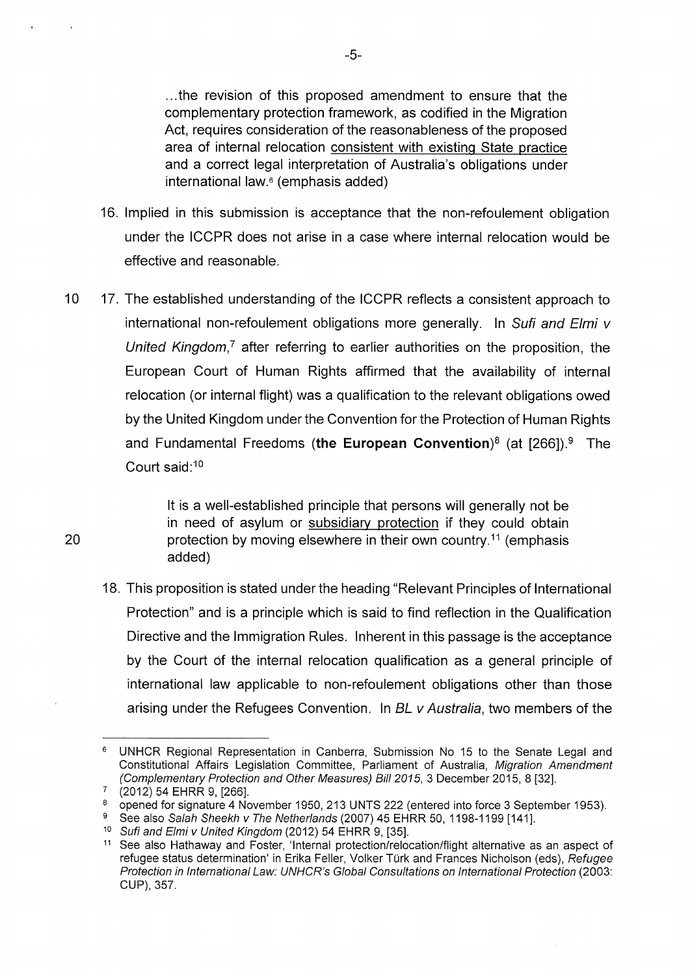... the revision of this proposed amendment to ensure that the complementary protection framework, as codified in the Migration Act, requires consideration of the reasonableness of the proposed area of internal relocation consistent with existing State practice and a correct legal interpretation of Australia's obligations under international law.<sup>6</sup> (emphasis added)

- 16. Implied in this submission is acceptance that the non-refoulement obligation under the ICCPR does not arise in a case where internal relocation would be effective and reasonable.
- 10 17. The established understanding of the ICCPR reflects a consistent approach to international non-refoulement obligations more generally. In Sufi and Elmi v United Kingdom,<sup> $7$ </sup> after referring to earlier authorities on the proposition, the European Court of Human Rights affirmed that the availability of internal relocation (or internal flight) was a qualification to the relevant obligations owed by the United Kingdom under the Convention for the Protection of Human Rights and Fundamental Freedoms **(the European Convention)<sup>8</sup>**(at [266]).9 The Court said: <sup>10</sup>

lt is a well-established principle that persons will generally not be in need of asylum or subsidiary protection if they could obtain protection by moving elsewhere in their own country.<sup>11</sup> (emphasis added)

18. This proposition is stated under the heading "Relevant Principles of International Protection" and is a principle which is said to find reflection in the Qualification Directive and the Immigration Rules. Inherent in this passage is the acceptance by the Court of the internal relocation qualification as a general principle of international law applicable to non-refoulement obligations other than those arising under the Refugees Convention. In BL v Australia, two members of the

<sup>&</sup>lt;sup>6</sup> UNHCR Regional Representation in Canberra, Submission No 15 to the Senate Legal and Constitutional Affairs Legislation Committee, Parliament of Australia, Migration Amendment (Complementary Protection and Other Measures) Bill 2015, 3 December 2015, 8 [32].

 $(2012)$  54 EHRR 9, [266].

<sup>&</sup>lt;sup>8</sup> opened for signature 4 November 1950, 213 UNTS 222 (entered into force 3 September 1953).

<sup>&</sup>lt;sup>9</sup> See also Salah Sheekh v The Netherlands (2007) 45 EHRR 50, 1198-1199 [141].

<sup>10</sup> Sufi and Elmi v United Kingdom (2012) 54 EHRR 9, [35].

<sup>&</sup>lt;sup>11</sup> See also Hathaway and Foster, 'Internal protection/relocation/flight alternative as an aspect of refugee status determination' in Erika Feller, Volker Türk and Frances Nicholson (eds), Refugee Protection in International Law: UNHCR's Global Consultations on International Protection (2003: CUP), 357.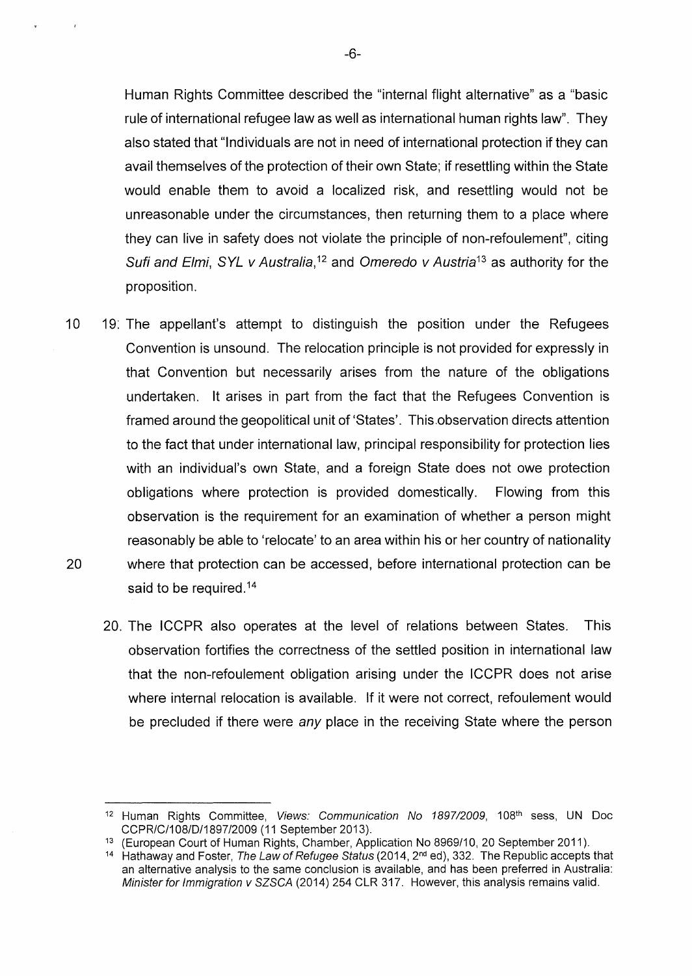Human Rights Committee described the "internal flight alternative" as a "basic rule of international refugee law as well as international human rights law". They also stated that "Individuals are not in need of international protection if they can avail themselves of the protection of their own State; if resettling within the State would enable them to avoid a localized risk, and resettling would not be unreasonable under the circumstances, then returning them to a place where they can live in safety does not violate the principle of non-refoulement", citing Sufi and Elmi, SYL v Australia, 12 and Omeredo v Austria*13* as authority for the proposition.

- 10 19: The appellant's attempt to distinguish the position under the Refugees Convention is unsound. The relocation principle is not provided for expressly in that Convention but necessarily arises from the nature of the obligations undertaken. lt arises in part from the fact that the Refugees Convention is framed around the geopolitical unit of 'States'. This.observation directs attention to the fact that under international law, principal responsibility for protection lies with an individual's own State, and a foreign State does not owe protection obligations where protection is provided domestically. Flowing from this observation is the requirement for an examination of whether a person might reasonably be able to 'relocate' to an area within his or her country of nationality 20 where that protection can be accessed, before international protection can be said to be required.<sup>14</sup>
	- 20. The ICCPR also operates at the level of relations between States. This observation fortifies the correctness of the settled position in international law that the non-refoulement obligation arising under the ICCPR does not arise where internal relocation is available. If it were not correct, refoulement would be precluded if there were any place in the receiving State where the person

<sup>&</sup>lt;sup>12</sup> Human Rights Committee, Views: Communication No 1897/2009, 108<sup>th</sup> sess, UN Doc CCPR/C/1 08/D/1897/2009 (11 September 2013).

<sup>&</sup>lt;sup>13</sup> (European Court of Human Rights, Chamber, Application No 8969/10, 20 September 2011).

<sup>&</sup>lt;sup>14</sup> Hathaway and Foster, The Law of Refugee Status (2014,  $2<sup>nd</sup>$  ed), 332. The Republic accepts that an alternative analysis to the same conclusion is available, and has been preferred in Australia: Minister for Immigration v SZSCA (2014) 254 CLR 317. However, this analysis remains valid.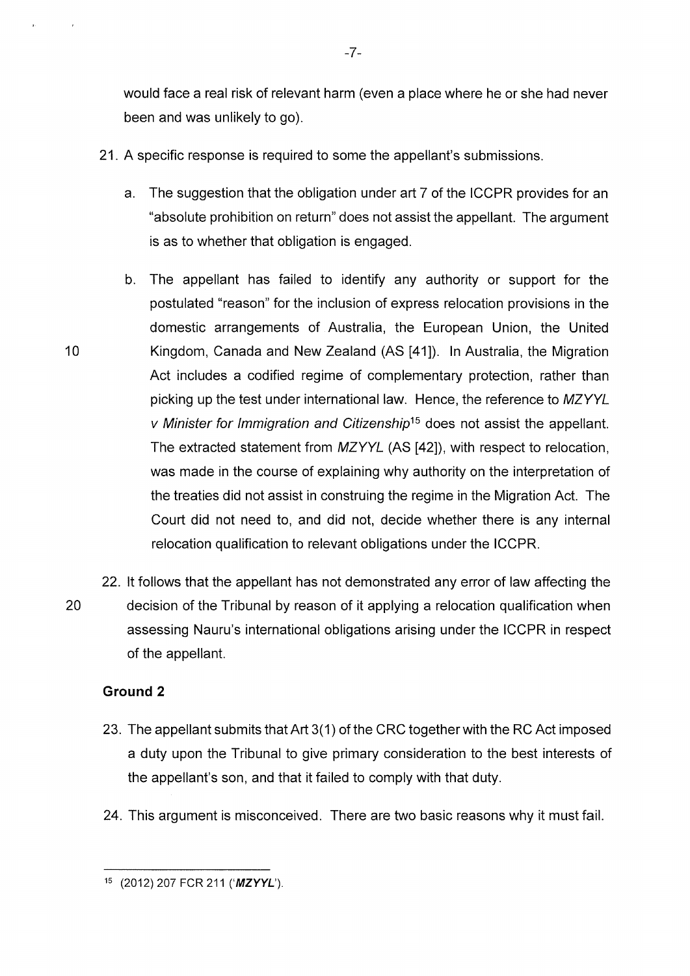would face a real risk of relevant harm (even a place where he or she had never been and was unlikely to go).

- 21. A specific response is required to some the appellant's submissions.
	- a. The suggestion that the obligation under art 7 of the ICCPR provides for an "absolute prohibition on return" does not assist the appellant. The argument is as to whether that obligation is engaged.
- b. The appellant has failed to identify any authority or support for the postulated "reason" for the inclusion of express relocation provisions in the domestic arrangements of Australia, the European Union, the United Kingdom, Canada and New Zealand (AS [41]). In Australia, the Migration Act includes a codified regime of complementary protection, rather than picking up the test under international law. Hence, the reference to MZYYL v Minister for Immigration and Citizenship<sup>15</sup> does not assist the appellant. The extracted statement from MZYYL (AS [42]), with respect to relocation, was made in the course of explaining why authority on the interpretation of the treaties did not assist in construing the regime in the Migration Act. The Court did not need to, and did not, decide whether there is any internal relocation qualification to relevant obligations under the ICCPR.
- 22. lt follows that the appellant has not demonstrated any error of law affecting the 20 decision of the Tribunal by reason of it applying a relocation qualification when assessing Nauru's international obligations arising under the ICCPR in respect of the appellant.

## **Ground 2**

- 23. The appellant submits that Art 3(1) of the CRC together with the RC Act imposed a duty upon the Tribunal to give primary consideration to the best interests of the appellant's son, and that it failed to comply with that duty.
- 24. This argument is misconceived. There are two basic reasons why it must fail.

<sup>15 (2012) 207</sup> FCR 211 **('MZYYL').**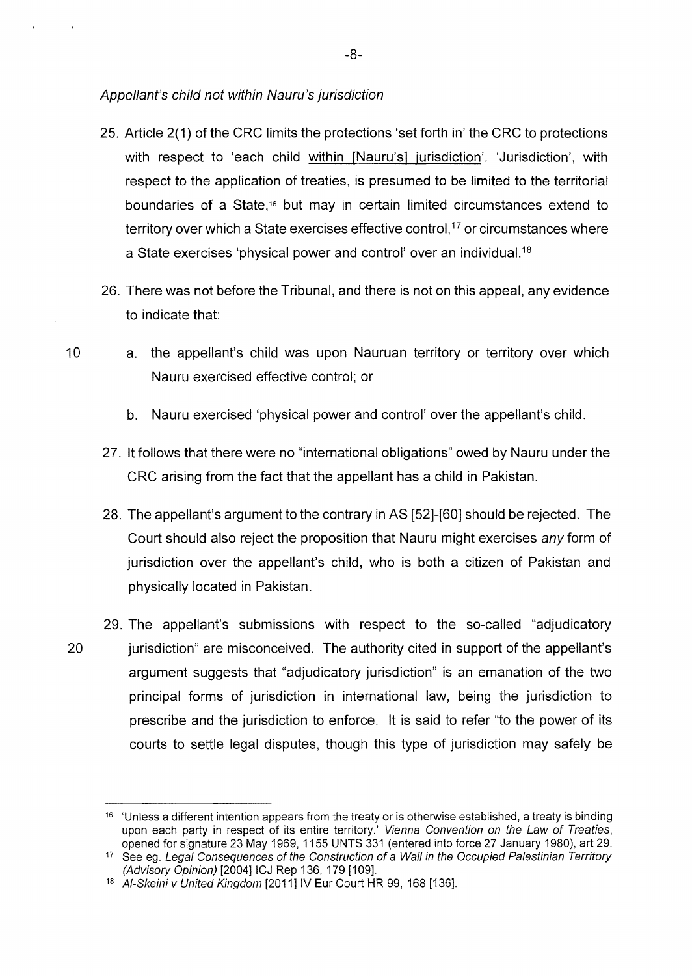#### Appellant's child not within Nauru's jurisdiction

- 25. Article 2(1) of the CRC limits the protections 'set forth in' the CRC to protections with respect to 'each child within [Nauru's] jurisdiction'. 'Jurisdiction', with respect to the application of treaties, is presumed to be limited to the territorial boundaries of a State, 16 but may in certain limited circumstances extend to territory over which a State exercises effective control,<sup>17</sup> or circumstances where a State exercises 'physical power and control' over an individual. <sup>18</sup>
- 26. There was not before the Tribunal, and there is not on this appeal, any evidence to indicate that
- 10 a. the appellant's child was upon Nauruan territory or territory over which Nauru exercised effective control; or
	- b. Nauru exercised 'physical power and control' over the appellant's child.
	- 27. lt follows that there were no "international obligations" owed by Nauru under the CRC arising from the fact that the appellant has a child in Pakistan.
	- 28. The appellant's argument to the contrary in AS [52]-[60] should be rejected. The Court should also reject the proposition that Nauru might exercises any form of jurisdiction over the appellant's child, who is both a citizen of Pakistan and physically located in Pakistan.
- 29. The appellant's submissions with respect to the so-called "adjudicatory 20 jurisdiction" are misconceived. The authority cited in support of the appellant's argument suggests that "adjudicatory jurisdiction" is an emanation of the two principal forms of jurisdiction in international law, being the jurisdiction to prescribe and the jurisdiction to enforce. lt is said to refer "to the power of its courts to settle legal disputes, though this type of jurisdiction may safely be

-8-

<sup>&</sup>lt;sup>16</sup> 'Unless a different intention appears from the treaty or is otherwise established, a treaty is binding upon each party in respect of its entire territory.' Vienna Convention on the Law of Treaties, opened for signature 23 May 1969, 1155 UNTS 331 (entered into force 27 January 1980), art 29.

<sup>&</sup>lt;sup>17</sup> See eg. Legal Consequences of the Construction of a Wall in the Occupied Palestinian Territory (Advisory Opinion) [2004] ICJ Rep 136, 179 [109].

<sup>18</sup> Al-Skeini v United Kingdom [2011] IV Eur Court HR 99, 168 [136].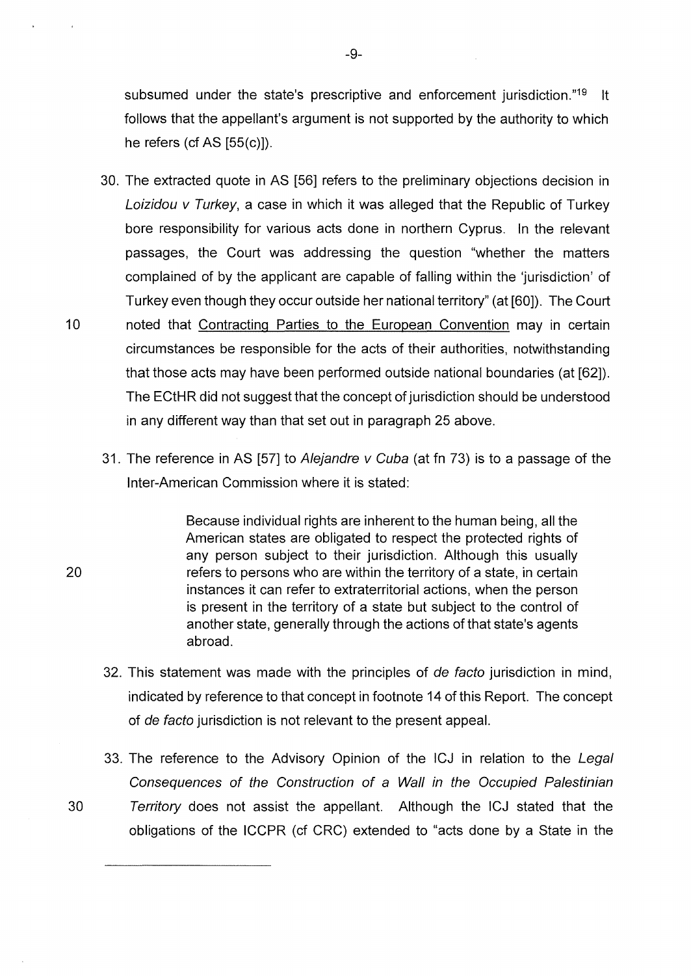subsumed under the state's prescriptive and enforcement jurisdiction."<sup>19</sup> It follows that the appellant's argument is not supported by the authority to which he refers (cf AS  $[55(c)]$ ).

30. The extracted quote in AS [56] refers to the preliminary objections decision in Loizidou v Turkey, a case in which it was alleged that the Republic of Turkey bore responsibility for various acts done in northern Cyprus. In the relevant passages, the Court was addressing the question "whether the matters complained of by the applicant are capable of falling within the 'jurisdiction' of Turkey even though they occur outside her national territory" (at [60]). The Court 10 noted that Contracting Parties to the European Convention may in certain

circumstances be responsible for the acts of their authorities, notwithstanding that those acts may have been performed outside national boundaries (at [62]). The ECtHR did not suggest that the concept of jurisdiction should be understood in any different way than that set out in paragraph 25 above.

31. The reference in AS [57] to Alejandre v Cuba (at fn 73) is to a passage of the lnter-American Commission where it is stated:

> Because individual rights are inherent to the human being, all the American states are obligated to respect the protected rights of any person subject to their jurisdiction. Although this usually refers to persons who are within the territory of a state, in certain instances it can refer to extraterritorial actions, when the person is present in the territory of a state but subject to the control of another state, generally through the actions of that state's agents abroad.

- 32. This statement was made with the principles of de facto jurisdiction in mind, indicated by reference to that concept in footnote 14 of this Report. The concept of de facto jurisdiction is not relevant to the present appeal.
- 33. The reference to the Advisory Opinion of the ICJ in relation to the Legal Consequences of the Construction of a Wall in the Occupied Palestinian
- 30 Territory does not assist the appellant. Although the ICJ stated that the obligations of the ICCPR (cf CRC) extended to "acts done by a State in the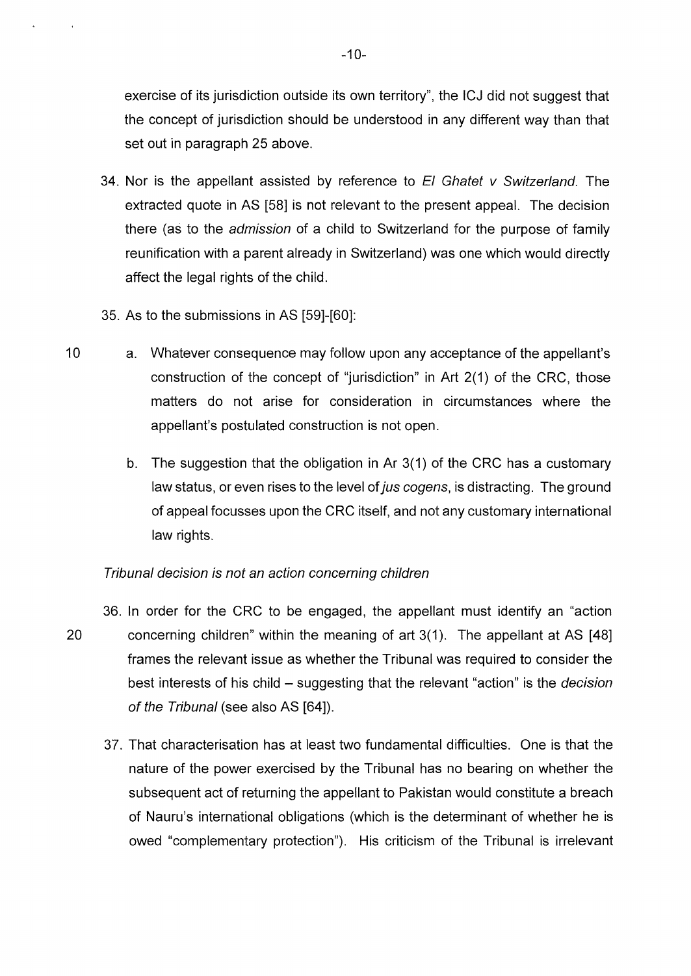exercise of its jurisdiction outside its own territory", the ICJ did not suggest that the concept of jurisdiction should be understood in any different way than that set out in paragraph 25 above.

- 34. Nor is the appellant assisted by reference to  $E1$  Ghatet v Switzerland. The extracted quote in AS [58] is not relevant to the present appeal. The decision there (as to the admission of a child to Switzerland for the purpose of family reunification with a parent already in Switzerland) was one which would directly affect the legal rights of the child.
- 35. As to the submissions in AS [59]-[60]:
- 10 a. Whatever consequence may follow upon any acceptance of the appellant's construction of the concept of "jurisdiction" in Art 2(1) of the CRC, those matters do not arise for consideration in circumstances where the appellant's postulated construction is not open.
	- b. The suggestion that the obligation in Ar 3(1) of the CRC has a customary law status, or even rises to the level of jus cogens, is distracting. The ground of appeal focusses upon the CRC itself, and not any customary international law rights.

# Tribunal decision is not an action concerning children

- 36. In order for the CRC to be engaged, the appellant must identify an "action 20 concerning children" within the meaning of art 3(1). The appellant at AS [48] frames the relevant issue as whether the Tribunal was required to consider the best interests of his child – suggesting that the relevant "action" is the *decision* of the Tribunal (see also AS [64]).
	- 37. That characterisation has at least two fundamental difficulties. One is that the nature of the power exercised by the Tribunal has no bearing on whether the subsequent act of returning the appellant to Pakistan would constitute a breach of Nauru's international obligations (which is the determinant of whether he is owed "complementary protection"). His criticism of the Tribunal is irrelevant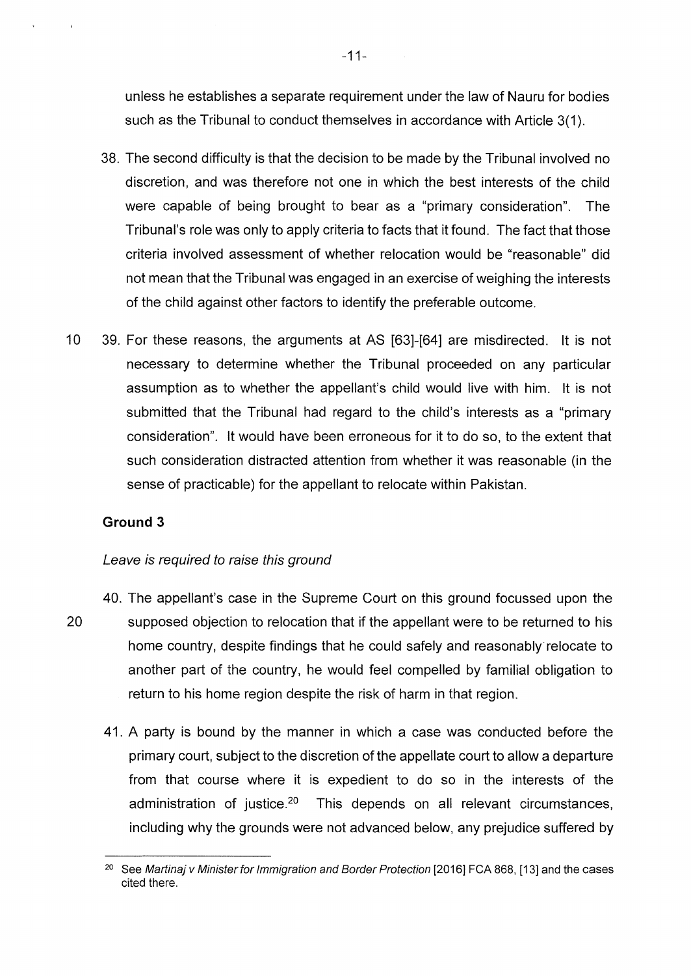unless he establishes a separate requirement under the law of Nauru for bodies such as the Tribunal to conduct themselves in accordance with Article 3(1).

- 38. The second difficulty is that the decision to be made by the Tribunal involved no discretion, and was therefore not one in which the best interests of the child were capable of being brought to bear as a "primary consideration". The Tribunal's role was only to apply criteria to facts that it found. The fact that those criteria involved assessment of whether relocation would be "reasonable" did not mean that the Tribunal was engaged in an exercise of weighing the interests of the child against other factors to identify the preferable outcome.
- 10 39. For these reasons, the arguments at AS [63]-[64] are misdirected. lt is not necessary to determine whether the Tribunal proceeded on any particular assumption as to whether the appellant's child would live with him. lt is not submitted that the Tribunal had regard to the child's interests as a "primary consideration". lt would have been erroneous for it to do so, to the extent that such consideration distracted attention from whether it was reasonable (in the sense of practicable) for the appellant to relocate within Pakistan.

## **Ground 3**

#### Leave is required to raise this ground

- 40. The appellant's case in the Supreme Court on this ground focussed upon the 20 supposed objection to relocation that if the appellant were to be returned to his home country, despite findings that he could safely and reasonably· relocate to another part of the country, he would feel compelled by familial obligation to return to his home region despite the risk of harm in that region.
	- 41. A party is bound by the manner in which a case was conducted before the primary court, subject to the discretion of the appellate court to allow a departure from that course where it is expedient to do so in the interests of the administration of justice.20 This depends on all relevant circumstances, including why the grounds were not advanced below, any prejudice suffered by

<sup>&</sup>lt;sup>20</sup> See Martinaj v Minister for Immigration and Border Protection [2016] FCA 868, [13] and the cases cited there.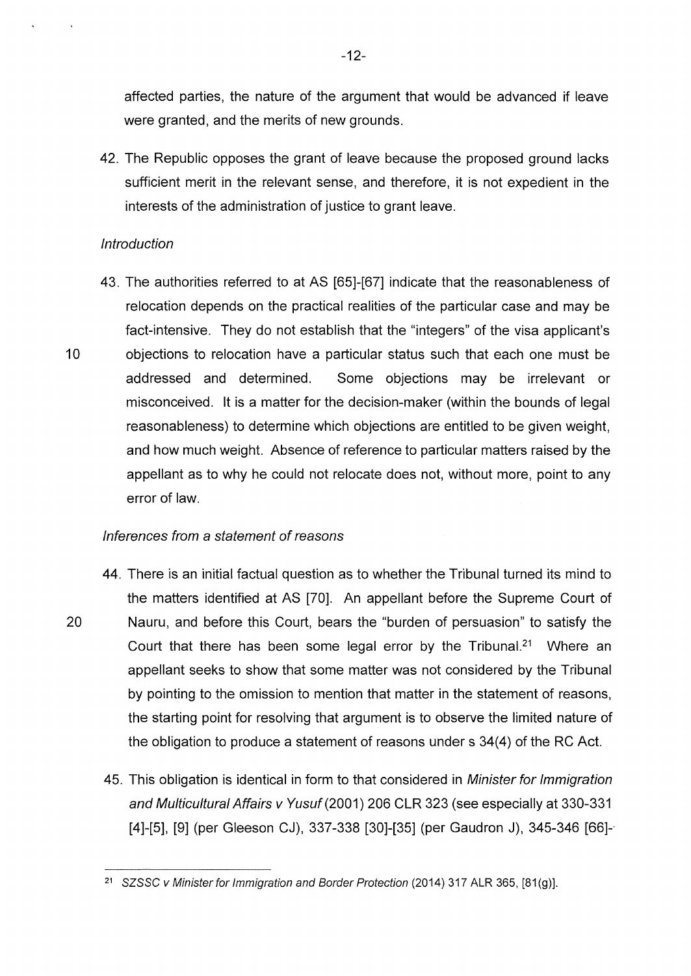affected parties, the nature of the argument that would be advanced if leave were granted, and the merits of new grounds.

42. The Republic opposes the grant of leave because the proposed ground lacks sufficient merit in the relevant sense, and therefore, it is not expedient in the interests of the administration of justice to grant leave.

## **Introduction**

43. The authorities referred to at AS [65]-[67] indicate that the reasonableness of relocation depends on the practical realities of the particular case and may be fact-intensive. They do not establish that the "integers" of the visa applicant's 10 objections to relocation have a particular status such that each one must be addressed and determined. Some objections may be irrelevant or misconceived. lt is a matter for the decision-maker (within the bounds of legal reasonableness) to determine which objections are entitled to be given weight, and how much weight. Absence of reference to particular matters raised by the appellant as to why he could not relocate does not, without more, point to any error of law.

# Inferences from a statement of reasons

- 44. There is an initial factual question as to whether the Tribunal turned its mind to the matters identified at AS [70]. An appellant before the Supreme Court of 20 Nauru, and before this Court, bears the "burden of persuasion" to satisfy the Court that there has been some legal error by the Tribunal.<sup>21</sup> Where an appellant seeks to show that some matter was not considered by the Tribunal by pointing to the omission to mention that matter in the statement of reasons, the starting point for resolving that argument is to observe the limited nature of the obligation to produce a statement of reasons under s 34(4) of the RC Act.
	- 45. This obligation is identical in form to that considered in Minister for Immigration and Multicultural Affairs v Yusuf(2001) 206 CLR 323 (see especially at 330-331 [4]-[5], [9] (per Gleeson CJ), 337-338 [30]-[35] (per Gaudron J), 345-346 [66]-·

<sup>21</sup> SZSSC v Minister for Immigration and Border Protection (2014) 317 ALR 365, [81(g)].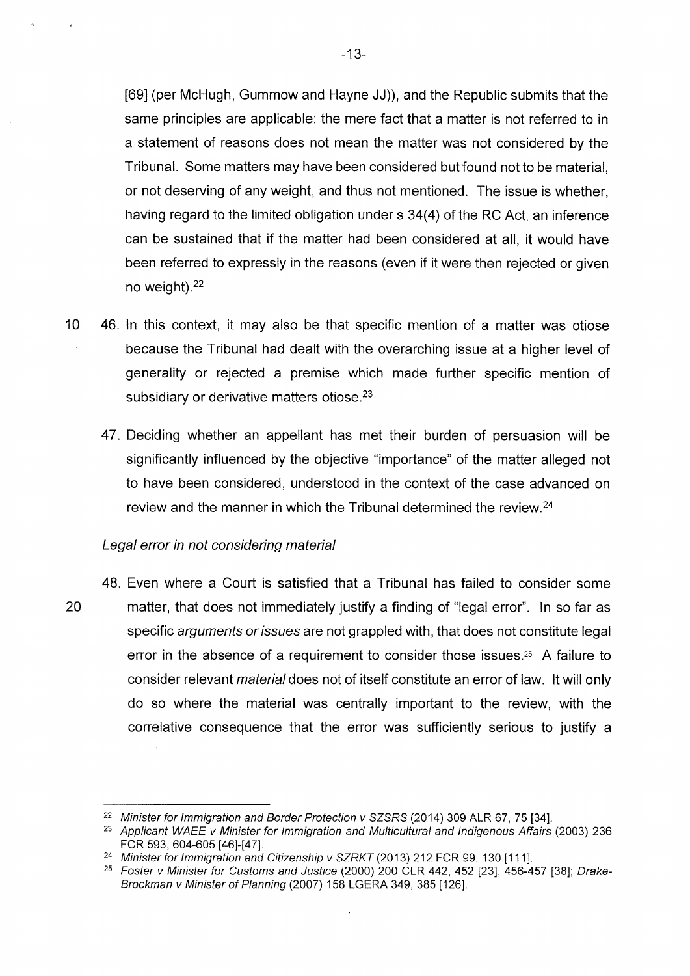[69] (per McHugh, Gummow and Hayne JJ)), and the Republic submits that the same principles are applicable: the mere fact that a matter is not referred to in a statement of reasons does not mean the matter was not considered by the Tribunal. Some matters may have been considered but found not to be material, or not deserving of any weight, and thus not mentioned. The issue is whether, having regard to the limited obligation under s 34(4) of the RC Act, an inference can be sustained that if the matter had been considered at all, it would have been referred to expressly in the reasons (even if it were then rejected or given no weight). <sup>22</sup>

- 10 46. In this context, it may also be that specific mention of a matter was otiose because the Tribunal had dealt with the overarching issue at a higher level of generality or rejected a premise which made further specific mention of subsidiary or derivative matters otiose.<sup>23</sup>
	- 47. Deciding whether an appellant has met their burden of persuasion will be significantly influenced by the objective "importance" of the matter alleged not to have been considered, understood in the context of the case advanced on review and the manner in which the Tribunal determined the review.<sup>24</sup>

#### Legal error in not considering material

48. Even where a Court is satisfied that a Tribunal has failed to consider some 20 matter, that does not immediately justify a finding of "legal error". In so far as specific arguments or issues are not grappled with, that does not constitute legal error in the absence of a requirement to consider those issues.<sup>25</sup> A failure to consider relevant material does not of itself constitute an error of law. lt will only do so where the material was centrally important to the review, with the correlative consequence that the error was sufficiently serious to justify a

<sup>&</sup>lt;sup>22</sup> Minister for Immigration and Border Protection v SZSRS (2014) 309 ALR 67, 75 [34].<br><sup>23</sup> Applicant WAEE v Minister for Immigration and Multicultural and Indigenous Affairs (2003) 236

FCR 593, 604-605 [46]-[47].

<sup>&</sup>lt;sup>24</sup> Minister for Immigration and Citizenship v SZRKT (2013) 212 FCR 99, 130 [111].

<sup>25</sup> Foster v Minister for Customs and Justice (2000) 200 CLR 442, 452 [23], 456-457 [38]; Drake-Brockman v Minister of Planning (2007) 158 LGERA 349, 385 [126].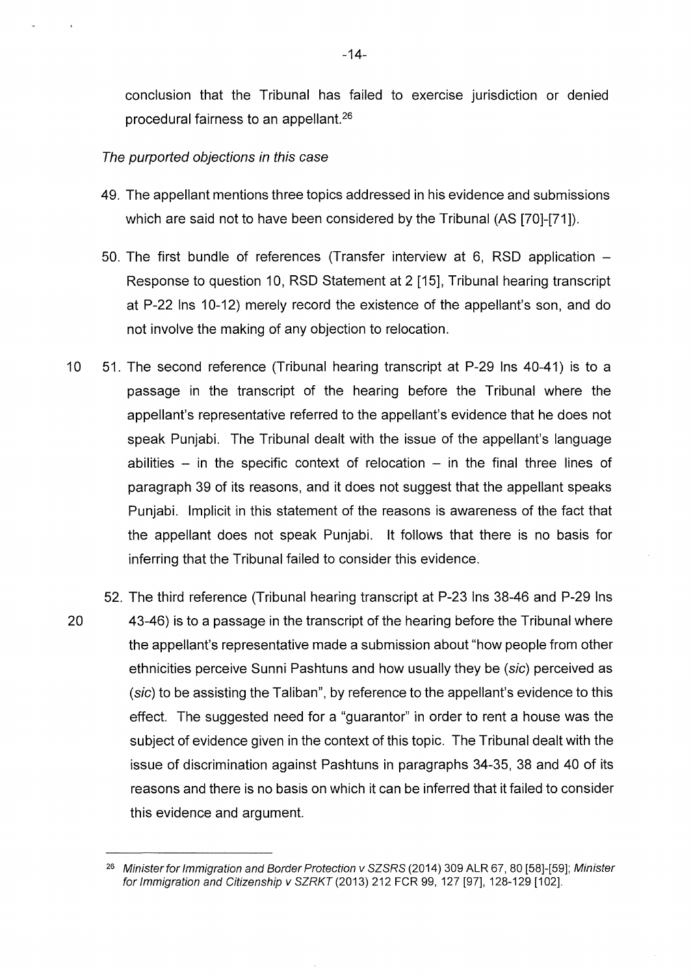conclusion that the Tribunal has failed to exercise jurisdiction or denied procedural fairness to an appellant.<sup>26</sup>

#### The purported objections in this case

- 49. The appellant mentions three topics addressed in his evidence and submissions which are said not to have been considered by the Tribunal (AS [70]-[71]).
- 50. The first bundle of references (Transfer interview at 6, RSD application Response to question 10, RSD Statement at 2 [15], Tribunal hearing transcript at P-22 Ins 10-12) merely record the existence of the appellant's son, and do not involve the making of any objection to relocation.
- 10 51. The second reference (Tribunal hearing transcript at P-29 Ins 40-41) is to a passage in the transcript of the hearing before the Tribunal where the appellant's representative referred to the appellant's evidence that he does not speak Punjabi. The Tribunal dealt with the issue of the appellant's language abilities  $-$  in the specific context of relocation  $-$  in the final three lines of paragraph 39 of its reasons, and it does not suggest that the appellant speaks Punjabi. Implicit in this statement of the reasons is awareness of the fact that the appellant does not speak Punjabi. lt follows that there is no basis for inferring that the Tribunal failed to consider this evidence.
- 52. The third reference (Tribunal hearing transcript at P-23 Ins 38-46 and P-29 Ins 20 43-46) is to a passage in the transcript of the hearing before the Tribunal where the appellant's representative made a submission about "how people from other ethnicities perceive Sunni Pashtuns and how usually they be (sic) perceived as (sic) to be assisting the Taliban", by reference to the appellant's evidence to this effect. The suggested need for a "guarantor" in order to rent a house was the subject of evidence given in the context of this topic. The Tribunal dealt with the issue of discrimination against Pashtuns in paragraphs 34-35, 38 and 40 of its reasons and there is no basis on which it can be inferred that it failed to consider this evidence and argument.

<sup>&</sup>lt;sup>26</sup> Minister for Immigration and Border Protection v SZSRS (2014) 309 ALR 67, 80 [58]-[59]; Minister for Immigration and Citizenship v SZRKT (2013) 212 FCR 99, 127 [97], 128-129 [102].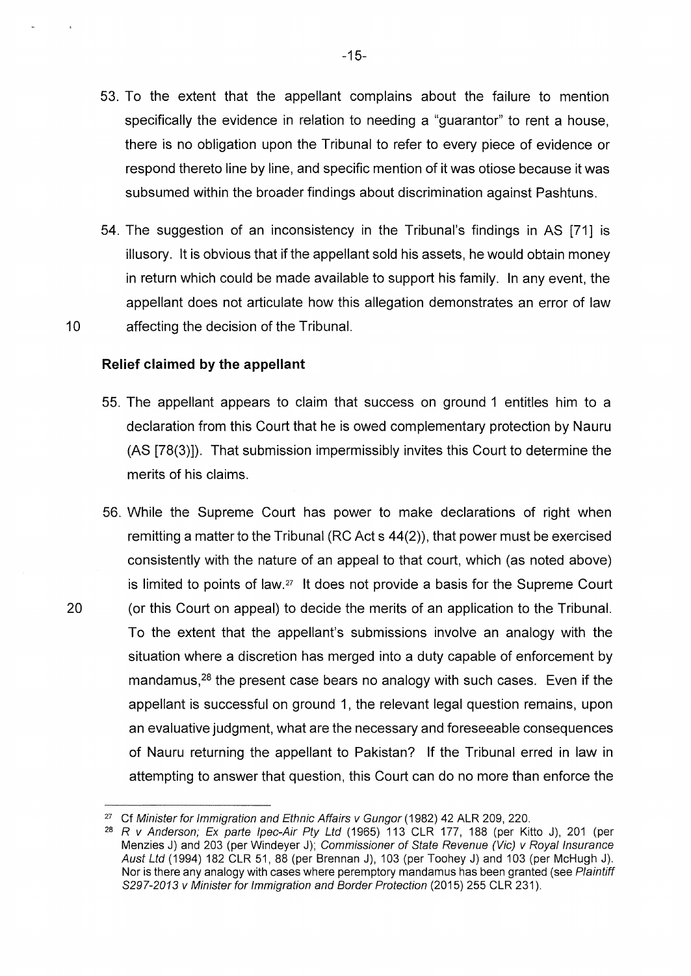- 53. To the extent that the appellant complains about the failure to mention specifically the evidence in relation to needing a "guarantor" to rent a house, there is no obligation upon the Tribunal to refer to every piece of evidence or respond thereto line by line, and specific mention of it was otiose because it was subsumed within the broader findings about discrimination against Pashtuns.
- 54. The suggestion of an inconsistency in the Tribunal's findings in AS [71] is illusory. lt is obvious that if the appellant sold his assets, he would obtain money in return which could be made available to support his family. In any event, the appellant does not articulate how this allegation demonstrates an error of law 10 affecting the decision of the Tribunal.

#### **Relief claimed by the appellant**

- 55. The appellant appears to claim that success on ground 1 entitles him to a declaration from this Court that he is owed complementary protection by Nauru (AS [78(3)]). That submission impermissibly invites this Court to determine the merits of his claims.
- 56. While the Supreme Court has power to make declarations of right when remitting a matter to the Tribunal (RC Act s 44(2)), that power must be exercised consistently with the nature of an appeal to that court, which (as noted above) is limited to points of law. $27$  It does not provide a basis for the Supreme Court 20 (or this Court on appeal) to decide the merits of an application to the Tribunal. To the extent that the appellant's submissions involve an analogy with the situation where a discretion has merged into a duty capable of enforcement by mandamus,<sup>28</sup> the present case bears no analogy with such cases. Even if the appellant is successful on ground 1, the relevant legal question remains, upon an evaluative judgment, what are the necessary and foreseeable consequences of Nauru returning the appellant to Pakistan? If the Tribunal erred in law in attempting to answer that question, this Court can do no more than enforce the

-15-

<sup>&</sup>lt;sup>27</sup> Cf Minister for Immigration and Ethnic Affairs v Gungor (1982) 42 ALR 209, 220.

 $28$  R v Anderson; Ex parte Ipec-Air Pty Ltd (1965) 113 CLR 177, 188 (per Kitto J), 201 (per Menzies J) and 203 (per Windeyer J); Commissioner of State Revenue (Vic) v Royal Insurance Aust Ltd (1994) 182 CLR 51, 88 (per Brennan J), 103 (per Toohey J) and 103 (per McHugh J). Nor is there any analogy with cases where peremptory mandamus has been granted (see Plaintiff S297-2013 v Minister for Immigration and Border Protection (2015) 255 CLR 231).